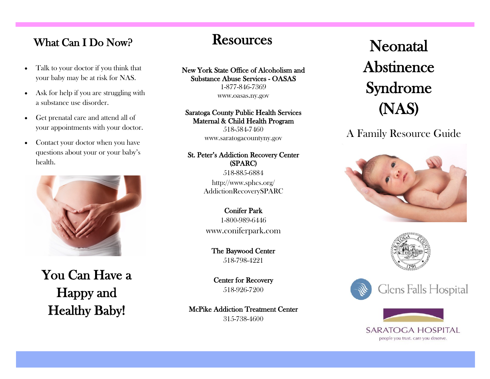## What Can I Do Now? Resources

- Talk to your doctor if you think that your baby may be at risk for NAS.
- Ask for help if you are struggling with a substance use disorder.
- Get prenatal care and attend all of your appointments with your doctor.
- Contact your doctor when you have questions about your or your baby's health.



You Can Have a Happy and Healthy Baby!

New York State Office of Alcoholism and Substance Abuse Services - OASAS 1-877-846-7369

www.oasas.ny.gov

#### Saratoga County Public Health Services Maternal & Child Health Program

518-584-7460 www.saratogacountyny.gov

#### St. Peter's Addiction Recovery Center (SPARC) 518-885-6884

http://www.sphcs.org/ AddictionRecoverySPARC

Conifer Park 1-800-989-6446 www.coniferpark.com

The Baywood Center 518-798-4221

Center for Recovery 518-926-7200

McPike Addiction Treatment Center 315-738-4600

# Neonatal Abstinence Syndrome (NAS)

A Family Resource Guide